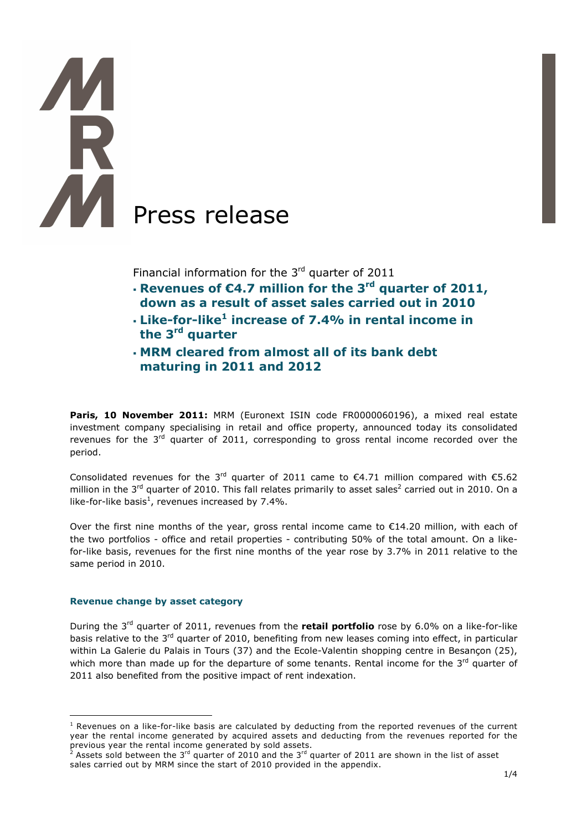# Press release

Financial information for the  $3<sup>rd</sup>$  quarter of 2011

- **Revenues of €4.7 million for the 3rd quarter of 2011, down as a result of asset sales carried out in 2010**
- **Like-for-like<sup>1</sup> increase of 7.4% in rental income in the 3rd quarter**
- **MRM cleared from almost all of its bank debt maturing in 2011 and 2012**

**Paris, 10 November 2011:** MRM (Euronext ISIN code FR0000060196), a mixed real estate investment company specialising in retail and office property, announced today its consolidated revenues for the 3<sup>rd</sup> quarter of 2011, corresponding to gross rental income recorded over the period.

Consolidated revenues for the 3<sup>rd</sup> quarter of 2011 came to  $\epsilon$ 4.71 million compared with  $\epsilon$ 5.62 million in the 3<sup>rd</sup> quarter of 2010. This fall relates primarily to asset sales<sup>2</sup> carried out in 2010. On a like-for-like basis<sup>1</sup>, revenues increased by 7.4%.

Over the first nine months of the year, gross rental income came to €14.20 million, with each of the two portfolios - office and retail properties - contributing 50% of the total amount. On a likefor-like basis, revenues for the first nine months of the year rose by 3.7% in 2011 relative to the same period in 2010.

# **Revenue change by asset category**

During the 3rd quarter of 2011, revenues from the **retail portfolio** rose by 6.0% on a like-for-like basis relative to the 3<sup>rd</sup> quarter of 2010, benefiting from new leases coming into effect, in particular within La Galerie du Palais in Tours (37) and the Ecole-Valentin shopping centre in Besançon (25), which more than made up for the departure of some tenants. Rental income for the  $3<sup>rd</sup>$  quarter of 2011 also benefited from the positive impact of rent indexation.

 $\overline{a}$ <sup>1</sup> Revenues on a like-for-like basis are calculated by deducting from the reported revenues of the current year the rental income generated by acquired assets and deducting from the revenues reported for the previous year the rental income generated by sold assets.

<sup>&</sup>lt;sup>2</sup> Assets sold between the 3<sup>rd</sup> quarter of 2010 and the 3<sup>rd</sup> quarter of 2011 are shown in the list of asset sales carried out by MRM since the start of 2010 provided in the appendix.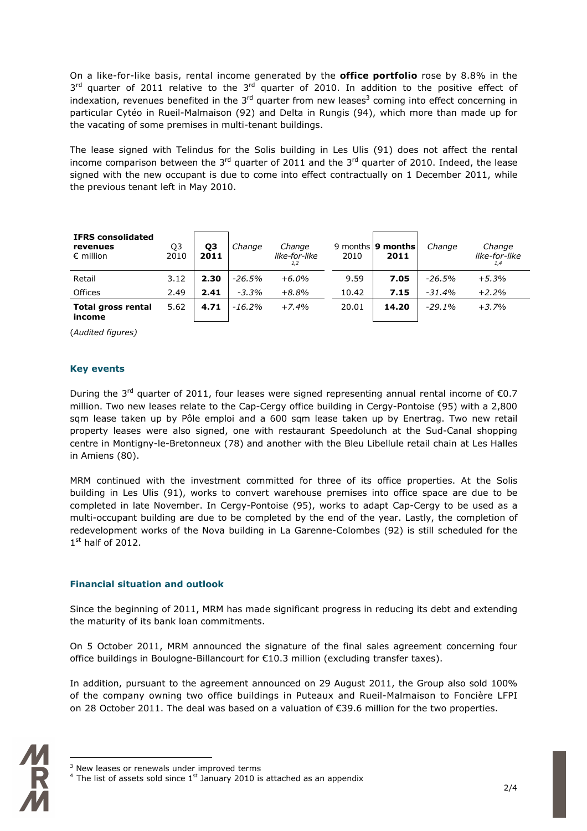On a like-for-like basis, rental income generated by the **office portfolio** rose by 8.8% in the  $3<sup>rd</sup>$  quarter of 2011 relative to the  $3<sup>rd</sup>$  quarter of 2010. In addition to the positive effect of indexation, revenues benefited in the 3<sup>rd</sup> quarter from new leases<sup>3</sup> coming into effect concerning in particular Cytéo in Rueil-Malmaison (92) and Delta in Rungis (94), which more than made up for the vacating of some premises in multi-tenant buildings.

The lease signed with Telindus for the Solis building in Les Ulis (91) does not affect the rental income comparison between the 3<sup>rd</sup> quarter of 2011 and the 3<sup>rd</sup> quarter of 2010. Indeed, the lease signed with the new occupant is due to come into effect contractually on 1 December 2011, while the previous tenant left in May 2010.

| <b>IFRS consolidated</b><br>revenues<br>$\epsilon$ million | Q3<br>2010 | Q3<br>2011 | Change    | Change<br>like-for-like<br>1.2 | 2010  | 9 months <b>9 months</b><br>2011 | Change   | Change<br>like-for-like<br>1.4 |
|------------------------------------------------------------|------------|------------|-----------|--------------------------------|-------|----------------------------------|----------|--------------------------------|
| Retail                                                     | 3.12       | 2.30       | $-26.5%$  | $+6.0%$                        | 9.59  | 7.05                             | $-26.5%$ | $+5.3%$                        |
| Offices                                                    | 2.49       | 2.41       | $-3.3%$   | $+8.8%$                        | 10.42 | 7.15                             | $-31.4%$ | $+2.2%$                        |
| Total gross rental<br>income                               | 5.62       | 4.71       | $-16.2\%$ | $+7.4%$                        | 20.01 | 14.20                            | $-29.1%$ | $+3.7%$                        |

(*Audited figures)* 

# **Key events**

During the 3<sup>rd</sup> quarter of 2011, four leases were signed representing annual rental income of  $\epsilon$ 0.7 million. Two new leases relate to the Cap-Cergy office building in Cergy-Pontoise (95) with a 2,800 sqm lease taken up by Pôle emploi and a 600 sqm lease taken up by Enertrag. Two new retail property leases were also signed, one with restaurant Speedolunch at the Sud-Canal shopping centre in Montigny-le-Bretonneux (78) and another with the Bleu Libellule retail chain at Les Halles in Amiens (80).

MRM continued with the investment committed for three of its office properties. At the Solis building in Les Ulis (91), works to convert warehouse premises into office space are due to be completed in late November. In Cergy-Pontoise (95), works to adapt Cap-Cergy to be used as a multi-occupant building are due to be completed by the end of the year. Lastly, the completion of redevelopment works of the Nova building in La Garenne-Colombes (92) is still scheduled for the 1<sup>st</sup> half of 2012.

# **Financial situation and outlook**

Since the beginning of 2011, MRM has made significant progress in reducing its debt and extending the maturity of its bank loan commitments.

On 5 October 2011, MRM announced the signature of the final sales agreement concerning four office buildings in Boulogne-Billancourt for €10.3 million (excluding transfer taxes).

In addition, pursuant to the agreement announced on 29 August 2011, the Group also sold 100% of the company owning two office buildings in Puteaux and Rueil-Malmaison to Foncière LFPI on 28 October 2011. The deal was based on a valuation of €39.6 million for the two properties.



 $\overline{a}$ 

 $3$  New leases or renewals under improved terms

 $4$  The list of assets sold since  $1<sup>st</sup>$  January 2010 is attached as an appendix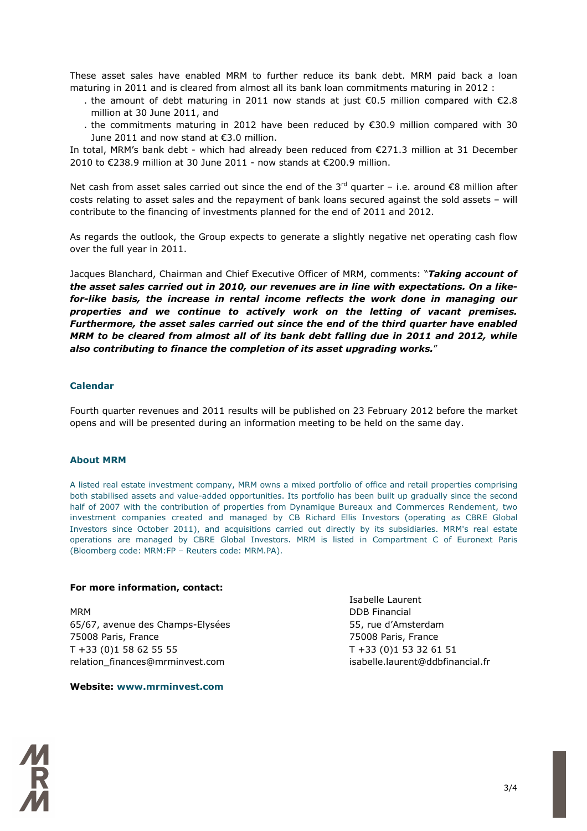These asset sales have enabled MRM to further reduce its bank debt. MRM paid back a loan maturing in 2011 and is cleared from almost all its bank loan commitments maturing in 2012 :

- . the amount of debt maturing in 2011 now stands at just  $\epsilon$ 0.5 million compared with  $\epsilon$ 2.8 million at 30 June 2011, and
- . the commitments maturing in 2012 have been reduced by €30.9 million compared with 30 June 2011 and now stand at €3.0 million.

In total, MRM's bank debt - which had already been reduced from €271.3 million at 31 December 2010 to €238.9 million at 30 June 2011 - now stands at €200.9 million.

Net cash from asset sales carried out since the end of the 3<sup>rd</sup> quarter – i.e. around €8 million after costs relating to asset sales and the repayment of bank loans secured against the sold assets – will contribute to the financing of investments planned for the end of 2011 and 2012.

As regards the outlook, the Group expects to generate a slightly negative net operating cash flow over the full year in 2011.

Jacques Blanchard, Chairman and Chief Executive Officer of MRM, comments: "*Taking account of the asset sales carried out in 2010, our revenues are in line with expectations. On a likefor-like basis, the increase in rental income reflects the work done in managing our properties and we continue to actively work on the letting of vacant premises. Furthermore, the asset sales carried out since the end of the third quarter have enabled MRM to be cleared from almost all of its bank debt falling due in 2011 and 2012, while also contributing to finance the completion of its asset upgrading works.*"

### **Calendar**

Fourth quarter revenues and 2011 results will be published on 23 February 2012 before the market opens and will be presented during an information meeting to be held on the same day.

### **About MRM**

A listed real estate investment company, MRM owns a mixed portfolio of office and retail properties comprising both stabilised assets and value-added opportunities. Its portfolio has been built up gradually since the second half of 2007 with the contribution of properties from Dynamique Bureaux and Commerces Rendement, two investment companies created and managed by CB Richard Ellis Investors (operating as CBRE Global Investors since October 2011), and acquisitions carried out directly by its subsidiaries. MRM's real estate operations are managed by CBRE Global Investors. MRM is listed in Compartment C of Euronext Paris (Bloomberg code: MRM:FP – Reuters code: MRM.PA).

### **For more information, contact:**

MRM DDB Financial 65/67, avenue des Champs-Elysées 55, rue d'Amsterdam 75008 Paris, France 75008 Paris, France T +33 (0)1 58 62 55 55 T +33 (0)1 53 32 61 51 relation\_finances@mrminvest.com isabelle.laurent@ddbfinancial.fr

**Website: www.mrminvest.com**

Isabelle Laurent